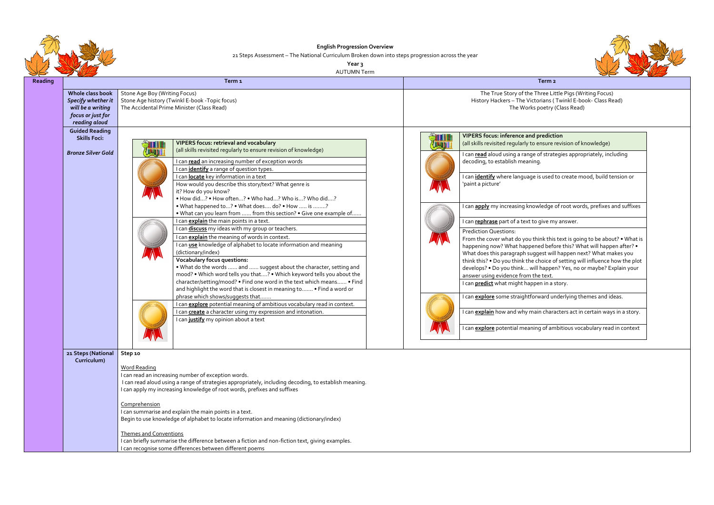**English Progression Overview**

21 Steps Assessment – The National Curriculum Broken down into steps progression across the year

**Year 3**

AUTUMN Term

|                                                                                                   | וווסו צוויוטו שר                                                                                                                                                                                                                                                                                                                                                                                                                                                                                                                                                                                                                                                                                                                                                                                                                                                                                                                                                                                                                                                                                                                                                                                                                                                                                                                                                                         |                                                                                                                                                                                                                                                                                                                                                                                                                                                                                                                                                                                                                                                                                                                                                                                                                                                                                                                                                                                                                                                                                                                                                                                                                                                                |
|---------------------------------------------------------------------------------------------------|------------------------------------------------------------------------------------------------------------------------------------------------------------------------------------------------------------------------------------------------------------------------------------------------------------------------------------------------------------------------------------------------------------------------------------------------------------------------------------------------------------------------------------------------------------------------------------------------------------------------------------------------------------------------------------------------------------------------------------------------------------------------------------------------------------------------------------------------------------------------------------------------------------------------------------------------------------------------------------------------------------------------------------------------------------------------------------------------------------------------------------------------------------------------------------------------------------------------------------------------------------------------------------------------------------------------------------------------------------------------------------------|----------------------------------------------------------------------------------------------------------------------------------------------------------------------------------------------------------------------------------------------------------------------------------------------------------------------------------------------------------------------------------------------------------------------------------------------------------------------------------------------------------------------------------------------------------------------------------------------------------------------------------------------------------------------------------------------------------------------------------------------------------------------------------------------------------------------------------------------------------------------------------------------------------------------------------------------------------------------------------------------------------------------------------------------------------------------------------------------------------------------------------------------------------------------------------------------------------------------------------------------------------------|
|                                                                                                   | Term <sub>1</sub>                                                                                                                                                                                                                                                                                                                                                                                                                                                                                                                                                                                                                                                                                                                                                                                                                                                                                                                                                                                                                                                                                                                                                                                                                                                                                                                                                                        | Term <sub>2</sub>                                                                                                                                                                                                                                                                                                                                                                                                                                                                                                                                                                                                                                                                                                                                                                                                                                                                                                                                                                                                                                                                                                                                                                                                                                              |
| Whole class book<br>Specify whether it<br>will be a writing<br>focus or just for<br>reading aloud | Stone Age Boy (Writing Focus)<br>Stone Age history (Twinkl E-book -Topic focus)<br>The Accidental Prime Minister (Class Read)                                                                                                                                                                                                                                                                                                                                                                                                                                                                                                                                                                                                                                                                                                                                                                                                                                                                                                                                                                                                                                                                                                                                                                                                                                                            | The True Story of the Three Little Pigs (Writing Focus)<br>History Hackers - The Victorians (Twinkl E-book- Class Read)<br>The Works poetry (Class Read)                                                                                                                                                                                                                                                                                                                                                                                                                                                                                                                                                                                                                                                                                                                                                                                                                                                                                                                                                                                                                                                                                                       |
| <b>Guided Reading</b><br><b>Skills Foci:</b><br><b>Bronze Silver Gold</b>                         | <b>VIPERS focus: retrieval and vocabulary</b><br>(all skills revisited regularly to ensure revision of knowledge)<br>I can read an increasing number of exception words<br>I can <i>identify</i> a range of question types.<br>I can <b>locate</b> key information in a text<br>How would you describe this story/text? What genre is<br>it? How do you know?<br>. How did? . How often? . Who had? Who is? Who did?<br>• What happened to? • What does do? • How  is ?<br>. What can you learn from  from this section? • Give one example of<br>I can <i>explain</i> the main points in a text.<br>I can discuss my ideas with my group or teachers.<br>I can <i>explain</i> the meaning of words in context.<br>I can <b>use</b> knowledge of alphabet to locate information and meaning<br>(dictionary/index)<br><b>Vocabulary focus questions:</b><br>. What do the words  and  suggest about the character, setting and<br>mood? . Which word tells you that? . Which keyword tells you about the<br>character/setting/mood? • Find one word in the text which means • Find<br>and highlight the word that is closest in meaning to . Find a word or<br>phrase which shows/suggests that<br>can <i>explore</i> potential meaning of ambitious vocabulary read in context.<br>I can create a character using my expression and intonation.<br>I can justify my opinion about a text | <b>VIPERS focus: inference and prediction</b><br><b>91111</b><br>(all skills revisited regularly to ensure revision of knowledge)<br>JJ-11<br>I can read aloud using a range of strategies appropriately, including<br>decoding, to establish meaning.<br>I can <i>identify</i> where language is used to create mood, build tension or<br>'paint a picture'<br>I can <b>apply</b> my increasing knowledge of root words, prefixes and suffixes<br>I can rephrase part of a text to give my answer.<br><b>Prediction Questions:</b><br>From the cover what do you think this text is going to be about? . What<br>happening now? What happened before this? What will happen after? •<br>What does this paragraph suggest will happen next? What makes you<br>think this? . Do you think the choice of setting will influence how the plc<br>develops? . Do you think will happen? Yes, no or maybe? Explain your<br>answer using evidence from the text.<br>I can <b>predict</b> what might happen in a story.<br>I can <b>explore</b> some straightforward underlying themes and ideas.<br>I can <i>explain</i> how and why main characters act in certain ways in a story<br>I can <b>explore</b> potential meaning of ambitious vocabulary read in context |
| 21 Steps (National<br>Curriculum)                                                                 | Step 10<br><b>Word Reading</b><br>I can read an increasing number of exception words.<br>I can read aloud using a range of strategies appropriately, including decoding, to establish meaning.<br>I can apply my increasing knowledge of root words, prefixes and suffixes<br>Comprehension<br>I can summarise and explain the main points in a text.<br>Begin to use knowledge of alphabet to locate information and meaning (dictionary/index)<br><b>Themes and Conventions</b><br>I can briefly summarise the difference between a fiction and non-fiction text, giving examples.<br>I can recognise some differences between different poems                                                                                                                                                                                                                                                                                                                                                                                                                                                                                                                                                                                                                                                                                                                                         |                                                                                                                                                                                                                                                                                                                                                                                                                                                                                                                                                                                                                                                                                                                                                                                                                                                                                                                                                                                                                                                                                                                                                                                                                                                                |



| <b>VIPERS focus: inference and prediction</b><br>(all skills revisited regularly to ensure revision of knowledge)                                                                                                                                                                                                                                                                                                                                                                                            |
|--------------------------------------------------------------------------------------------------------------------------------------------------------------------------------------------------------------------------------------------------------------------------------------------------------------------------------------------------------------------------------------------------------------------------------------------------------------------------------------------------------------|
| I can read aloud using a range of strategies appropriately, including<br>decoding, to establish meaning.                                                                                                                                                                                                                                                                                                                                                                                                     |
| I can <i>identify</i> where language is used to create mood, build tension or<br>'paint a picture'                                                                                                                                                                                                                                                                                                                                                                                                           |
| I can <b>apply</b> my increasing knowledge of root words, prefixes and suffixes                                                                                                                                                                                                                                                                                                                                                                                                                              |
| I can rephrase part of a text to give my answer.                                                                                                                                                                                                                                                                                                                                                                                                                                                             |
| <b>Prediction Questions:</b><br>From the cover what do you think this text is going to be about? • What is<br>happening now? What happened before this? What will happen after? •<br>What does this paragraph suggest will happen next? What makes you<br>think this? • Do you think the choice of setting will influence how the plot<br>develops? • Do you think will happen? Yes, no or maybe? Explain your<br>answer using evidence from the text.<br>I can <b>predict</b> what might happen in a story. |
| I can <i>explore</i> some straightforward underlying themes and ideas.                                                                                                                                                                                                                                                                                                                                                                                                                                       |
| I can <b>explain</b> how and why main characters act in certain ways in a story.                                                                                                                                                                                                                                                                                                                                                                                                                             |
| Lcan <b>explore</b> potential meaning of ambitious vocabulary read in context                                                                                                                                                                                                                                                                                                                                                                                                                                |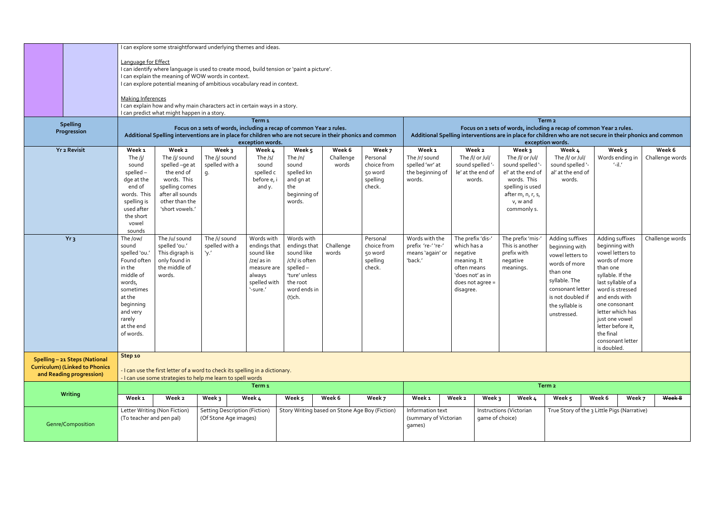|                                                                        | I can explore some straightforward underlying themes and ideas.                                                  |                                             |                                                                                                                                |                        |                              |           |                                                |                       |                                 |                                                                                                            |                   |                                             |                 |
|------------------------------------------------------------------------|------------------------------------------------------------------------------------------------------------------|---------------------------------------------|--------------------------------------------------------------------------------------------------------------------------------|------------------------|------------------------------|-----------|------------------------------------------------|-----------------------|---------------------------------|------------------------------------------------------------------------------------------------------------|-------------------|---------------------------------------------|-----------------|
|                                                                        | Language for Effect<br>I can identify where language is used to create mood, build tension or 'paint a picture'. |                                             |                                                                                                                                |                        |                              |           |                                                |                       |                                 |                                                                                                            |                   |                                             |                 |
|                                                                        |                                                                                                                  |                                             | I can explain the meaning of WOW words in context.<br>I can explore potential meaning of ambitious vocabulary read in context. |                        |                              |           |                                                |                       |                                 |                                                                                                            |                   |                                             |                 |
|                                                                        | <b>Making Inferences</b>                                                                                         |                                             | I can explain how and why main characters act in certain ways in a story.                                                      |                        |                              |           |                                                |                       |                                 |                                                                                                            |                   |                                             |                 |
|                                                                        |                                                                                                                  | I can predict what might happen in a story. |                                                                                                                                |                        |                              |           |                                                |                       |                                 |                                                                                                            |                   |                                             |                 |
| <b>Spelling</b>                                                        |                                                                                                                  |                                             |                                                                                                                                | Term <sub>1</sub>      |                              |           |                                                |                       |                                 |                                                                                                            | Term <sub>2</sub> |                                             |                 |
| Progression                                                            |                                                                                                                  |                                             | Focus on 2 sets of words, including a recap of common Year 2 rules.                                                            |                        |                              |           |                                                |                       |                                 | Focus on 2 sets of words, including a recap of common Year 2 rules.                                        |                   |                                             |                 |
|                                                                        |                                                                                                                  |                                             | Additional Spelling interventions are in place for children who are not secure in their phonics and common                     | exception words.       |                              |           |                                                |                       |                                 | Additional Spelling interventions are in place for children who are not secure in their phonics and common | exception words.  |                                             |                 |
| <b>Yr 2 Revisit</b>                                                    | Week <sub>1</sub>                                                                                                | Week 2                                      | Week 3                                                                                                                         | Week 4                 | Week 5                       | Week 6    | Week 7                                         | Week <sub>1</sub>     | Week 2                          | Week 3                                                                                                     | Week 4            | Week 5                                      | Week 6          |
|                                                                        | The /j/                                                                                                          | The /j/ sound                               | The /j/ sound                                                                                                                  | The /s/                | The $/n/$                    | Challenge | Personal                                       | The /r/ sound         | The /l/ or /ul/                 | The /l/ or /ul/                                                                                            | The /l/ or /ul/   | Words ending in                             | Challenge words |
|                                                                        | sound                                                                                                            | spelled -ge at                              | spelled with a                                                                                                                 | sound                  | sound                        | words     | choice from                                    | spelled 'wr' at       | sound spelled '-                | sound spelled '-                                                                                           | sound spelled '-  | $^{\prime}$ -il. $^{\prime}$                |                 |
|                                                                        | $spelled -$                                                                                                      | the end of                                  | g.                                                                                                                             | spelled c              | spelled kn                   |           | 50 word                                        | the beginning of      | le' at the end of               | el' at the end of                                                                                          | al' at the end of |                                             |                 |
|                                                                        | dge at the                                                                                                       | words. This                                 |                                                                                                                                | before e, i            | and gn at                    |           | spelling                                       | words.                | words.                          | words. This                                                                                                | words.            |                                             |                 |
|                                                                        | end of                                                                                                           | spelling comes                              |                                                                                                                                | and y.                 | the                          |           | check.                                         |                       |                                 | spelling is used                                                                                           |                   |                                             |                 |
|                                                                        | words. This                                                                                                      | after all sounds                            |                                                                                                                                |                        | beginning of                 |           |                                                |                       |                                 | after m, n, r, s,                                                                                          |                   |                                             |                 |
|                                                                        | spelling is<br>used after                                                                                        | other than the<br>'short vowels.'           |                                                                                                                                |                        | words.                       |           |                                                |                       |                                 | v, w and<br>commonly s.                                                                                    |                   |                                             |                 |
|                                                                        | the short                                                                                                        |                                             |                                                                                                                                |                        |                              |           |                                                |                       |                                 |                                                                                                            |                   |                                             |                 |
|                                                                        | vowel                                                                                                            |                                             |                                                                                                                                |                        |                              |           |                                                |                       |                                 |                                                                                                            |                   |                                             |                 |
|                                                                        | sounds                                                                                                           |                                             |                                                                                                                                |                        |                              |           |                                                |                       |                                 |                                                                                                            |                   |                                             |                 |
| Yr <sub>3</sub>                                                        | The /ow/                                                                                                         | The /u/ sound                               | The /i/ sound                                                                                                                  | Words with             | Words with                   |           | Personal                                       | Words with the        | The prefix 'dis-'               | The prefix 'mis-'                                                                                          | Adding suffixes   | Adding suffixes                             | Challenge words |
|                                                                        | sound                                                                                                            | spelled 'ou.'                               | spelled with a                                                                                                                 | endings that           | endings that                 | Challenge | choice from                                    | prefix 're-' 're-'    | which has a                     | This is another                                                                                            | beginning with    | beginning with                              |                 |
|                                                                        | spelled 'ou.'                                                                                                    | This digraph is                             | 'у.′                                                                                                                           | sound like             | sound like                   | words     | 50 word                                        | means 'again' or      | negative                        | prefix with                                                                                                | vowel letters to  | vowel letters to                            |                 |
|                                                                        | Found often                                                                                                      | only found in                               |                                                                                                                                | /ze/ as in             | /ch/ is often                |           | spelling                                       | 'back.'               | meaning. It                     | negative                                                                                                   | words of more     | words of more                               |                 |
|                                                                        | in the<br>middle of                                                                                              | the middle of                               |                                                                                                                                | measure are            | $spelled -$<br>'ture' unless |           | check.                                         |                       | often means<br>'does not' as in | meanings.                                                                                                  | than one          | than one<br>syllable. If the                |                 |
|                                                                        | words,                                                                                                           | words.                                      |                                                                                                                                | always<br>spelled with | the root                     |           |                                                |                       | does not agree =                |                                                                                                            | syllable. The     | last syllable of a                          |                 |
|                                                                        | sometimes                                                                                                        |                                             |                                                                                                                                | '-sure.'               | word ends in                 |           |                                                |                       | disagree.                       |                                                                                                            | consonant letter  | word is stressed                            |                 |
|                                                                        | at the                                                                                                           |                                             |                                                                                                                                |                        | $(t)$ ch.                    |           |                                                |                       |                                 |                                                                                                            | is not doubled if | and ends with                               |                 |
|                                                                        | beginning                                                                                                        |                                             |                                                                                                                                |                        |                              |           |                                                |                       |                                 |                                                                                                            | the syllable is   | one consonant                               |                 |
|                                                                        | and very                                                                                                         |                                             |                                                                                                                                |                        |                              |           |                                                |                       |                                 |                                                                                                            | unstressed.       | letter which has                            |                 |
|                                                                        | rarely                                                                                                           |                                             |                                                                                                                                |                        |                              |           |                                                |                       |                                 |                                                                                                            |                   | just one vowel                              |                 |
|                                                                        | at the end                                                                                                       |                                             |                                                                                                                                |                        |                              |           |                                                |                       |                                 |                                                                                                            |                   | letter before it,                           |                 |
|                                                                        | of words.                                                                                                        |                                             |                                                                                                                                |                        |                              |           |                                                |                       |                                 |                                                                                                            |                   | the final                                   |                 |
|                                                                        |                                                                                                                  |                                             |                                                                                                                                |                        |                              |           |                                                |                       |                                 |                                                                                                            |                   | consonant letter<br>is doubled.             |                 |
|                                                                        | Step 10                                                                                                          |                                             |                                                                                                                                |                        |                              |           |                                                |                       |                                 |                                                                                                            |                   |                                             |                 |
| Spelling - 21 Steps (National<br><b>Curriculum) (Linked to Phonics</b> |                                                                                                                  |                                             |                                                                                                                                |                        |                              |           |                                                |                       |                                 |                                                                                                            |                   |                                             |                 |
| and Reading progression)                                               |                                                                                                                  |                                             | - I can use the first letter of a word to check its spelling in a dictionary.                                                  |                        |                              |           |                                                |                       |                                 |                                                                                                            |                   |                                             |                 |
|                                                                        |                                                                                                                  |                                             | - I can use some strategies to help me learn to spell words                                                                    |                        |                              |           |                                                |                       |                                 |                                                                                                            |                   |                                             |                 |
|                                                                        |                                                                                                                  |                                             |                                                                                                                                | Term <sub>1</sub>      |                              |           |                                                |                       |                                 |                                                                                                            | Term <sub>2</sub> |                                             |                 |
| <b>Writing</b>                                                         | Week <sub>1</sub>                                                                                                | Week 2                                      | Week 3                                                                                                                         | Week 4                 | Week 5                       | Week 6    | Week 7                                         | Week <sub>1</sub>     | Week 2<br>Week 3                | Week 4                                                                                                     | Week 5            | Week 6<br>Week 7                            | Week 8          |
|                                                                        |                                                                                                                  | Letter Writing (Non Fiction)                | <b>Setting Description (Fiction)</b>                                                                                           |                        |                              |           | Story Writing based on Stone Age Boy (Fiction) | Information text      |                                 | Instructions (Victorian                                                                                    |                   | True Story of the 3 Little Pigs (Narrative) |                 |
| Genre/Composition                                                      | (To teacher and pen pal)                                                                                         |                                             | (Of Stone Age images)                                                                                                          |                        |                              |           |                                                | (summary of Victorian |                                 | game of choice)                                                                                            |                   |                                             |                 |
|                                                                        |                                                                                                                  |                                             |                                                                                                                                |                        |                              |           |                                                | games)                |                                 |                                                                                                            |                   |                                             |                 |
|                                                                        |                                                                                                                  |                                             |                                                                                                                                |                        |                              |           |                                                |                       |                                 |                                                                                                            |                   |                                             |                 |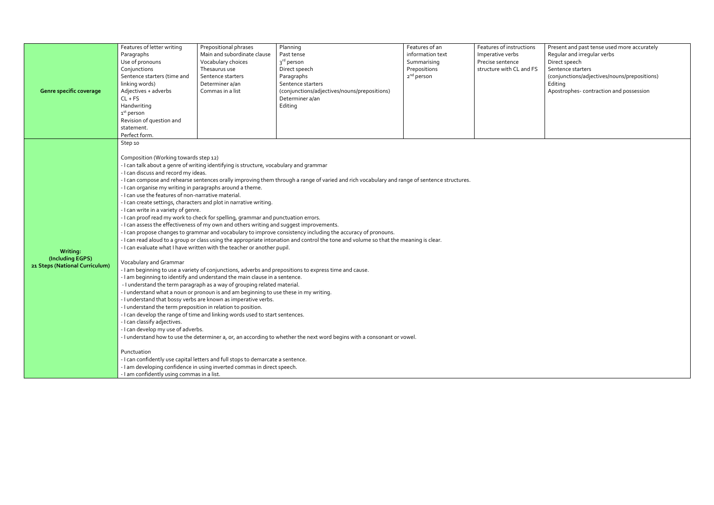Present and past tense used more accurately Regular and irregular verbs Direct speech Sentence starters (conjunctions/adjectives/nouns/prepositions) Editing Apostrophes- contraction and possession

|                                | Features of letter writing                                         | Prepositional phrases                                                                   | Planning                                                                                                                                     | Features of an         | Features of instructions |
|--------------------------------|--------------------------------------------------------------------|-----------------------------------------------------------------------------------------|----------------------------------------------------------------------------------------------------------------------------------------------|------------------------|--------------------------|
|                                | Paragraphs                                                         | Main and subordinate clause                                                             | Past tense                                                                                                                                   | information text       | Imperative verbs         |
|                                | Use of pronouns                                                    | Vocabulary choices                                                                      | 3 <sup>rd</sup> person                                                                                                                       | Summarising            | Precise sentence         |
|                                | Conjunctions                                                       | Thesaurus use                                                                           | Direct speech                                                                                                                                | Prepositions           | structure with CL and FS |
|                                | Sentence starters (time and                                        | Sentence starters                                                                       | Paragraphs                                                                                                                                   | 2 <sup>nd</sup> person |                          |
|                                | linking words)                                                     | Determiner a/an                                                                         | Sentence starters                                                                                                                            |                        |                          |
| <b>Genre specific coverage</b> | Adjectives + adverbs                                               | Commas in a list                                                                        | (conjunctions/adjectives/nouns/prepositions)                                                                                                 |                        |                          |
|                                | $CL + FS$                                                          |                                                                                         | Determiner a/an                                                                                                                              |                        |                          |
|                                | Handwriting                                                        |                                                                                         | Editing                                                                                                                                      |                        |                          |
|                                | 1 <sup>st</sup> person                                             |                                                                                         |                                                                                                                                              |                        |                          |
|                                | Revision of question and                                           |                                                                                         |                                                                                                                                              |                        |                          |
|                                | statement.                                                         |                                                                                         |                                                                                                                                              |                        |                          |
|                                | Perfect form.                                                      |                                                                                         |                                                                                                                                              |                        |                          |
|                                | Step 10                                                            |                                                                                         |                                                                                                                                              |                        |                          |
|                                |                                                                    |                                                                                         |                                                                                                                                              |                        |                          |
|                                | Composition (Working towards step 12)                              |                                                                                         |                                                                                                                                              |                        |                          |
|                                |                                                                    | - I can talk about a genre of writing identifying is structure, vocabulary and grammar  |                                                                                                                                              |                        |                          |
|                                | - I can discuss and record my ideas.                               |                                                                                         |                                                                                                                                              |                        |                          |
|                                |                                                                    |                                                                                         | - I can compose and rehearse sentences orally improving them through a range of varied and rich vocabulary and range of sentence structures. |                        |                          |
|                                | - I can organise my writing in paragraphs around a theme.          |                                                                                         |                                                                                                                                              |                        |                          |
|                                | - I can use the features of non-narrative material.                |                                                                                         |                                                                                                                                              |                        |                          |
|                                |                                                                    |                                                                                         |                                                                                                                                              |                        |                          |
|                                | - I can create settings, characters and plot in narrative writing. |                                                                                         |                                                                                                                                              |                        |                          |
|                                | - I can write in a variety of genre.                               |                                                                                         |                                                                                                                                              |                        |                          |
|                                |                                                                    | - I can proof read my work to check for spelling, grammar and punctuation errors.       |                                                                                                                                              |                        |                          |
|                                |                                                                    | - I can assess the effectiveness of my own and others writing and suggest improvements. |                                                                                                                                              |                        |                          |
|                                |                                                                    |                                                                                         | - I can propose changes to grammar and vocabulary to improve consistency including the accuracy of pronouns.                                 |                        |                          |
|                                |                                                                    |                                                                                         | - I can read aloud to a group or class using the appropriate intonation and control the tone and volume so that the meaning is clear.        |                        |                          |
| Writing:                       |                                                                    | - I can evaluate what I have written with the teacher or another pupil.                 |                                                                                                                                              |                        |                          |
| (Including EGPS)               |                                                                    |                                                                                         |                                                                                                                                              |                        |                          |
| 21 Steps (National Curriculum) | Vocabulary and Grammar                                             |                                                                                         |                                                                                                                                              |                        |                          |
|                                |                                                                    |                                                                                         | - I am beginning to use a variety of conjunctions, adverbs and prepositions to express time and cause.                                       |                        |                          |
|                                |                                                                    | - I am beginning to identify and understand the main clause in a sentence.              |                                                                                                                                              |                        |                          |
|                                |                                                                    | - I understand the term paragraph as a way of grouping related material.                |                                                                                                                                              |                        |                          |
|                                |                                                                    | - I understand what a noun or pronoun is and am beginning to use these in my writing.   |                                                                                                                                              |                        |                          |
|                                |                                                                    | - I understand that bossy verbs are known as imperative verbs.                          |                                                                                                                                              |                        |                          |
|                                | - I understand the term preposition in relation to position.       |                                                                                         |                                                                                                                                              |                        |                          |
|                                |                                                                    | - I can develop the range of time and linking words used to start sentences.            |                                                                                                                                              |                        |                          |
|                                | - I can classify adjectives.                                       |                                                                                         |                                                                                                                                              |                        |                          |
|                                | - I can develop my use of adverbs.                                 |                                                                                         |                                                                                                                                              |                        |                          |
|                                |                                                                    |                                                                                         | - I understand how to use the determiner a, or, an according to whether the next word begins with a consonant or vowel.                      |                        |                          |
|                                |                                                                    |                                                                                         |                                                                                                                                              |                        |                          |
|                                | Punctuation                                                        |                                                                                         |                                                                                                                                              |                        |                          |
|                                |                                                                    | - I can confidently use capital letters and full stops to demarcate a sentence.         |                                                                                                                                              |                        |                          |
|                                |                                                                    | - I am developing confidence in using inverted commas in direct speech.                 |                                                                                                                                              |                        |                          |
|                                | - I am confidently using commas in a list.                         |                                                                                         |                                                                                                                                              |                        |                          |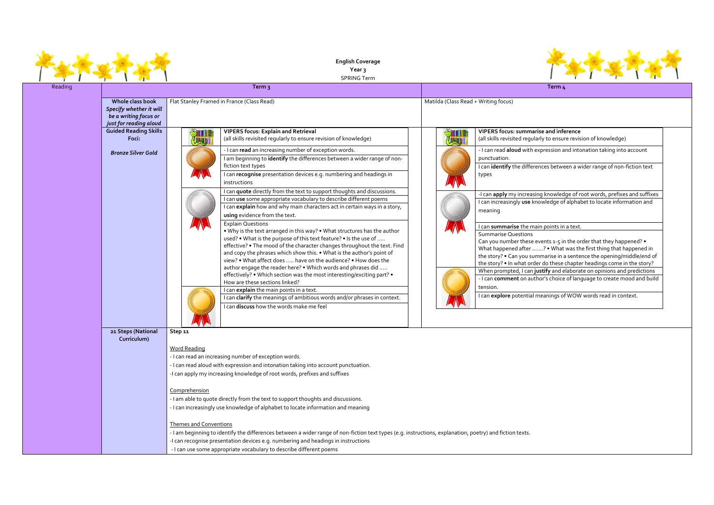

**English Coverage Year 3**

SPRING Term

|         |                                                                                                |                                | וווסו טיווע וכ                                                                                                                                                                                                                                                                                                                                                                                   |                                      |                                                                                                                                                                                                                      |
|---------|------------------------------------------------------------------------------------------------|--------------------------------|--------------------------------------------------------------------------------------------------------------------------------------------------------------------------------------------------------------------------------------------------------------------------------------------------------------------------------------------------------------------------------------------------|--------------------------------------|----------------------------------------------------------------------------------------------------------------------------------------------------------------------------------------------------------------------|
| Reading |                                                                                                |                                | Term <sub>3</sub>                                                                                                                                                                                                                                                                                                                                                                                |                                      | Term <sub>4</sub>                                                                                                                                                                                                    |
|         | Whole class book<br>Specify whether it will<br>be a writing focus or<br>just for reading aloud |                                | Flat Stanley Framed in France (Class Read)                                                                                                                                                                                                                                                                                                                                                       | Matilda (Class Read + Writing focus) |                                                                                                                                                                                                                      |
|         | <b>Guided Reading Skills</b><br>Foci:                                                          |                                | <b>VIPERS focus: Explain and Retrieval</b><br>(all skills revisited regularly to ensure revision of knowledge)                                                                                                                                                                                                                                                                                   |                                      | <b>VIPERS focus: summarise and infe</b><br>(all skills revisited regularly to ensur                                                                                                                                  |
|         | <b>Bronze Silver Gold</b>                                                                      |                                | - I can read an increasing number of exception words.<br>I am beginning to identify the differences between a wider range of non-<br>fiction text types<br>I can recognise presentation devices e.g. numbering and headings in<br>instructions                                                                                                                                                   |                                      | - I can read aloud with expression a<br>punctuation.<br>I can identify the differences betwe<br>types                                                                                                                |
|         |                                                                                                |                                | I can quote directly from the text to support thoughts and discussions.<br>I can use some appropriate vocabulary to describe different poems<br>I can explain how and why main characters act in certain ways in a story,<br>using evidence from the text.                                                                                                                                       |                                      | -I can apply my increasing knowled<br>I can increasingly use knowledge of<br>meaning                                                                                                                                 |
|         |                                                                                                |                                | <b>Explain Questions</b><br>. Why is the text arranged in this way? . What structures has the author<br>used? • What is the purpose of this text feature? • Is the use of<br>effective? . The mood of the character changes throughout the text. Find<br>and copy the phrases which show this. . What is the author's point of<br>view? . What affect does  have on the audience? . How does the |                                      | I can summarise the main points in<br><b>Summarise Questions</b><br>Can you number these events 1-5 in<br>What happened after ? . What<br>the story? . Can you summarise in a<br>the story? . In what order do these |
|         |                                                                                                |                                | author engage the reader here? . Which words and phrases did<br>effectively? • Which section was the most interesting/exciting part? •<br>How are these sections linked?<br>I can explain the main points in a text.                                                                                                                                                                             |                                      | When prompted, I can justify and e<br>- I can comment on author's choice<br>tension.                                                                                                                                 |
|         |                                                                                                |                                | I can clarify the meanings of ambitious words and/or phrases in context.<br>I can discuss how the words make me feel                                                                                                                                                                                                                                                                             |                                      | I can explore potential meanings of                                                                                                                                                                                  |
|         | 21 Steps (National<br>Curriculum)                                                              | Step 11<br><b>Word Reading</b> | - I can read an increasing number of exception words.<br>- I can read aloud with expression and intonation taking into account punctuation.<br>-I can apply my increasing knowledge of root words, prefixes and suffixes                                                                                                                                                                         |                                      |                                                                                                                                                                                                                      |
|         |                                                                                                | Comprehension                  | - I am able to quote directly from the text to support thoughts and discussions.                                                                                                                                                                                                                                                                                                                 |                                      |                                                                                                                                                                                                                      |

- I am beginning to identify the differences between a wider range of non-fiction text types (e.g. instructions, explanation, poetry) and fiction texts.
- -I can recognise presentation devices e.g. numbering and headings in instructions
	- I can use some appropriate vocabulary to describe different poems



nference sure revision of knowledge)

and intonation taking into account

ween a wider range of non-fiction text

edge of root words, prefixes and suffixes **o** cof alphabet to locate information and

in a text.

in the order that they happened? • at was the first thing that happened in in a sentence the opening/middle/end of se chapter headings come in the story? d elaborate on opinions and predictions ice of language to create mood and build

I can **external means of WOW** words read in context.

- I can increasingly use knowledge of alphabet to locate information and meaning

## Themes and Conventions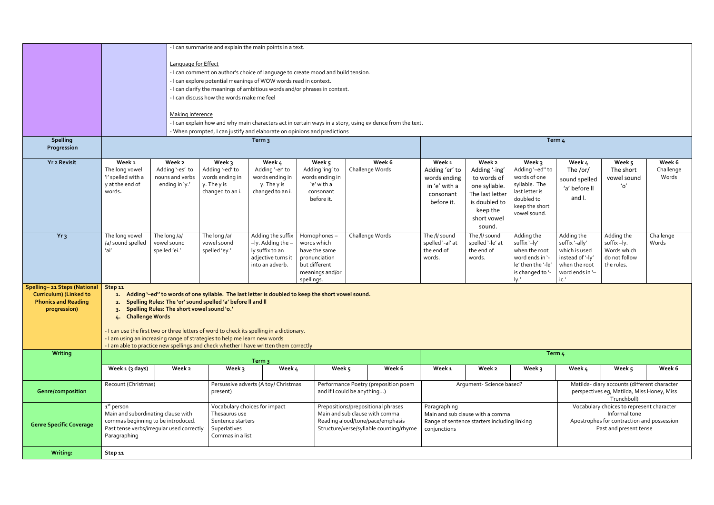|                                |                                                                                                                                                                    |                                                                                                         |                                          | - I can summarise and explain the main points in a text.         |                                                                            |                                                                                                         |                                |                                              |                                |                                 |                                                          |           |
|--------------------------------|--------------------------------------------------------------------------------------------------------------------------------------------------------------------|---------------------------------------------------------------------------------------------------------|------------------------------------------|------------------------------------------------------------------|----------------------------------------------------------------------------|---------------------------------------------------------------------------------------------------------|--------------------------------|----------------------------------------------|--------------------------------|---------------------------------|----------------------------------------------------------|-----------|
|                                |                                                                                                                                                                    |                                                                                                         |                                          |                                                                  |                                                                            |                                                                                                         |                                |                                              |                                |                                 |                                                          |           |
|                                |                                                                                                                                                                    | Language for Effect<br>- I can comment on author's choice of language to create mood and build tension. |                                          |                                                                  |                                                                            |                                                                                                         |                                |                                              |                                |                                 |                                                          |           |
|                                |                                                                                                                                                                    |                                                                                                         |                                          | - I can explore potential meanings of WOW words read in context. |                                                                            |                                                                                                         |                                |                                              |                                |                                 |                                                          |           |
|                                |                                                                                                                                                                    |                                                                                                         |                                          |                                                                  | - I can clarify the meanings of ambitious words and/or phrases in context. |                                                                                                         |                                |                                              |                                |                                 |                                                          |           |
|                                |                                                                                                                                                                    |                                                                                                         | I can discuss how the words make me feel |                                                                  |                                                                            |                                                                                                         |                                |                                              |                                |                                 |                                                          |           |
|                                |                                                                                                                                                                    |                                                                                                         |                                          |                                                                  |                                                                            |                                                                                                         |                                |                                              |                                |                                 |                                                          |           |
|                                |                                                                                                                                                                    | <b>Making Inference</b>                                                                                 |                                          |                                                                  |                                                                            |                                                                                                         |                                |                                              |                                |                                 |                                                          |           |
|                                |                                                                                                                                                                    |                                                                                                         |                                          |                                                                  |                                                                            | I can explain how and why main characters act in certain ways in a story, using evidence from the text. |                                |                                              |                                |                                 |                                                          |           |
| <b>Spelling</b>                |                                                                                                                                                                    |                                                                                                         |                                          | Term <sub>3</sub>                                                | - When prompted, I can justify and elaborate on opinions and predictions   |                                                                                                         |                                |                                              |                                | Term <sub>4</sub>               |                                                          |           |
| Progression                    |                                                                                                                                                                    |                                                                                                         |                                          |                                                                  |                                                                            |                                                                                                         |                                |                                              |                                |                                 |                                                          |           |
| Yr 2 Revisit                   | Week <sub>1</sub>                                                                                                                                                  | Week 2                                                                                                  | Week 3                                   | Week 4                                                           | Week 5                                                                     | Week 6                                                                                                  | Week <sub>1</sub>              | Week 2                                       | Week 3                         | Week 4                          | Week 5                                                   | Week 6    |
|                                | The long vowel                                                                                                                                                     | Adding '-es' to                                                                                         | Adding '-ed' to                          | Adding '-er' to                                                  | Adding 'ing' to                                                            | Challenge Words                                                                                         | Adding 'er' to                 | Adding '-ing'                                | Adding '-ed" to                | The /or/                        | The short                                                | Challenge |
|                                | 'i' spelled with a<br>nouns and verbs<br>y at the end of<br>ending in 'y.'                                                                                         |                                                                                                         | words ending in<br>y. The y is           | words ending in<br>y. The y is                                   | words ending in<br>'e' with a                                              |                                                                                                         | words ending                   | to words of                                  | words of one<br>syllable. The  | sound spelled                   | vowel sound                                              | Words     |
|                                | words.                                                                                                                                                             |                                                                                                         | changed to an i.                         | changed to an i.                                                 | consonant                                                                  |                                                                                                         | in 'e' with a<br>consonant     | one syllable.<br>The last letter             | last letter is                 | 'a' before II                   | 'o'                                                      |           |
|                                |                                                                                                                                                                    |                                                                                                         |                                          |                                                                  | before it.                                                                 |                                                                                                         | before it.                     | is doubled to                                | doubled to                     | and I.                          |                                                          |           |
|                                |                                                                                                                                                                    |                                                                                                         |                                          |                                                                  |                                                                            |                                                                                                         |                                | keep the                                     | keep the short<br>vowel sound. |                                 |                                                          |           |
|                                |                                                                                                                                                                    |                                                                                                         |                                          |                                                                  |                                                                            |                                                                                                         |                                | short vowel                                  |                                |                                 |                                                          |           |
|                                |                                                                                                                                                                    |                                                                                                         |                                          |                                                                  |                                                                            |                                                                                                         |                                | sound.                                       |                                |                                 |                                                          |           |
| Yr <sub>3</sub>                | The long vowel<br>The long /a/                                                                                                                                     |                                                                                                         | The long /a/                             | Adding the suffix                                                | Homophones-                                                                | Challenge Words                                                                                         | The /l/ sound                  | The /l/ sound                                | Adding the                     | Adding the                      | Adding the                                               | Challenge |
|                                | /a/ sound spelled<br>vowel sound<br>'ai'<br>spelled 'ei.'                                                                                                          |                                                                                                         | vowel sound<br>spelled 'ey.'             | $-$ ly. Adding the $-$<br>ly suffix to an                        | words which<br>have the same                                               |                                                                                                         | spelled '-al' at<br>the end of | spelled '-le' at<br>the end of               | suffix '-ly'<br>when the root  | suffix '-ally'<br>which is used | suffix -ly.<br>Words which                               | Words     |
|                                |                                                                                                                                                                    |                                                                                                         |                                          | adjective turns it                                               | pronunciation                                                              |                                                                                                         | words.                         | words.                                       | word ends in '-                | instead of '-ly'                | do not follow                                            |           |
|                                |                                                                                                                                                                    |                                                                                                         |                                          | into an adverb.                                                  | but different                                                              |                                                                                                         |                                |                                              | le' then the '-le'             | when the root                   | the rules.                                               |           |
|                                |                                                                                                                                                                    |                                                                                                         |                                          |                                                                  | meanings and/or<br>spellings.                                              |                                                                                                         |                                |                                              | is changed to '-<br>ly.'       | word ends in '-<br>$i$ c. $'$   |                                                          |           |
| Spelling-21 Steps (National    | Step 11                                                                                                                                                            |                                                                                                         |                                          |                                                                  |                                                                            |                                                                                                         |                                |                                              |                                |                                 |                                                          |           |
| <b>Curriculum) (Linked to</b>  | 1. Adding '-ed" to words of one syllable. The last letter is doubled to keep the short vowel sound.                                                                |                                                                                                         |                                          |                                                                  |                                                                            |                                                                                                         |                                |                                              |                                |                                 |                                                          |           |
| <b>Phonics and Reading</b>     | 2. Spelling Rules: The 'or' sound spelled 'a' before II and II                                                                                                     |                                                                                                         |                                          |                                                                  |                                                                            |                                                                                                         |                                |                                              |                                |                                 |                                                          |           |
| progression)                   | Spelling Rules: The short vowel sound 'o.'<br>$3 -$<br>4. Challenge Words                                                                                          |                                                                                                         |                                          |                                                                  |                                                                            |                                                                                                         |                                |                                              |                                |                                 |                                                          |           |
|                                |                                                                                                                                                                    |                                                                                                         |                                          |                                                                  |                                                                            |                                                                                                         |                                |                                              |                                |                                 |                                                          |           |
|                                | - I can use the first two or three letters of word to check its spelling in a dictionary.                                                                          |                                                                                                         |                                          |                                                                  |                                                                            |                                                                                                         |                                |                                              |                                |                                 |                                                          |           |
|                                | - I am using an increasing range of strategies to help me learn new words<br>- I am able to practice new spellings and check whether I have written them correctly |                                                                                                         |                                          |                                                                  |                                                                            |                                                                                                         |                                |                                              |                                |                                 |                                                          |           |
| <b>Writing</b>                 |                                                                                                                                                                    |                                                                                                         |                                          |                                                                  |                                                                            |                                                                                                         |                                |                                              |                                | Term <sub>4</sub>               |                                                          |           |
|                                | Week 1 (3 days)                                                                                                                                                    | Week 2                                                                                                  | Week 3                                   | Term 3<br>Week 4                                                 | Week 5                                                                     | Week 6                                                                                                  | Week 1                         | Week 2                                       | Week $3$                       | Week 4                          | Week 5                                                   | Week 6    |
|                                |                                                                                                                                                                    |                                                                                                         |                                          |                                                                  |                                                                            |                                                                                                         |                                |                                              |                                |                                 |                                                          |           |
|                                | Recount (Christmas)                                                                                                                                                |                                                                                                         |                                          | Persuasive adverts (A toy/ Christmas                             |                                                                            | Performance Poetry (preposition poem                                                                    |                                | Argument- Science based?                     |                                |                                 | Matilda- diary accounts (different character             |           |
| Genre/composition              |                                                                                                                                                                    |                                                                                                         | present)                                 |                                                                  |                                                                            | and if I could be anything)                                                                             |                                |                                              |                                |                                 | perspectives eg, Matilda, Miss Honey, Miss               |           |
|                                | 1 <sup>st</sup> person                                                                                                                                             |                                                                                                         |                                          | Vocabulary choices for impact                                    |                                                                            | Prepositions/prepositional phrases                                                                      | Paragraphing                   |                                              |                                |                                 | Trunchbull)<br>Vocabulary choices to represent character |           |
|                                | Main and subordinating clause with                                                                                                                                 |                                                                                                         | Thesaurus use                            |                                                                  |                                                                            | Main and sub clause with comma                                                                          |                                | Main and sub clause with a comma             |                                |                                 | Informal tone                                            |           |
| <b>Genre Specific Coverage</b> | commas beginning to be introduced.                                                                                                                                 |                                                                                                         | Sentence starters                        |                                                                  |                                                                            | Reading aloud/tone/pace/emphasis                                                                        |                                | Range of sentence starters including linking |                                |                                 | Apostrophes for contraction and possession               |           |
|                                | Past tense verbs/irregular used correctly                                                                                                                          |                                                                                                         | Superlatives<br>Commas in a list         |                                                                  |                                                                            | Structure/verse/syllable counting/rhyme                                                                 | conjunctions                   |                                              |                                |                                 | Past and present tense                                   |           |
|                                | Paragraphing                                                                                                                                                       |                                                                                                         |                                          |                                                                  |                                                                            |                                                                                                         |                                |                                              |                                |                                 |                                                          |           |
| Writing:                       | Step 11                                                                                                                                                            |                                                                                                         |                                          |                                                                  |                                                                            |                                                                                                         |                                |                                              |                                |                                 |                                                          |           |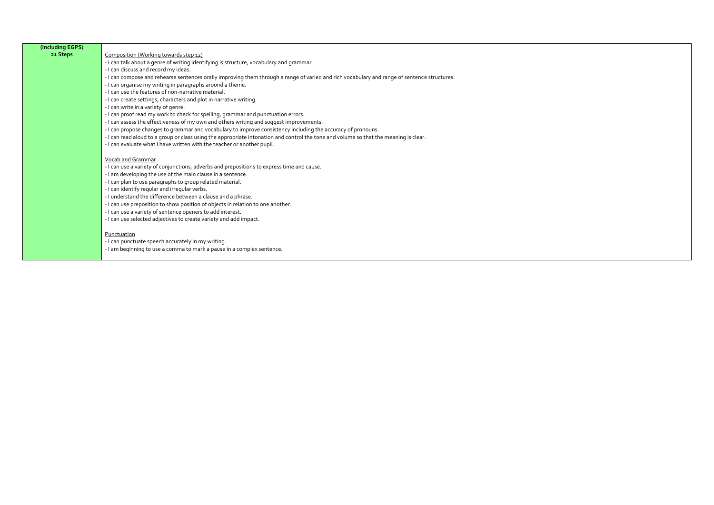| (Including EGPS) |                                                                                                                                              |
|------------------|----------------------------------------------------------------------------------------------------------------------------------------------|
| 21 Steps         | Composition (Working towards step 12)                                                                                                        |
|                  | - I can talk about a genre of writing identifying is structure, vocabulary and grammar                                                       |
|                  | - I can discuss and record my ideas.                                                                                                         |
|                  | - I can compose and rehearse sentences orally improving them through a range of varied and rich vocabulary and range of sentence structures. |
|                  | - I can organise my writing in paragraphs around a theme.                                                                                    |
|                  | - I can use the features of non-narrative material.                                                                                          |
|                  | - I can create settings, characters and plot in narrative writing.                                                                           |
|                  | - I can write in a variety of genre.                                                                                                         |
|                  | - I can proof read my work to check for spelling, grammar and punctuation errors.                                                            |
|                  | - I can assess the effectiveness of my own and others writing and suggest improvements.                                                      |
|                  | - I can propose changes to grammar and vocabulary to improve consistency including the accuracy of pronouns.                                 |
|                  | - I can read aloud to a group or class using the appropriate intonation and control the tone and volume so that the meaning is clear.        |
|                  | - I can evaluate what I have written with the teacher or another pupil.                                                                      |
|                  |                                                                                                                                              |
|                  | Vocab and Grammar                                                                                                                            |
|                  | - I can use a variety of conjunctions, adverbs and prepositions to express time and cause.                                                   |
|                  | - I am developing the use of the main clause in a sentence.                                                                                  |
|                  | - I can plan to use paragraphs to group related material.                                                                                    |
|                  | - I can identify regular and irregular verbs.                                                                                                |
|                  | - I understand the difference between a clause and a phrase.                                                                                 |
|                  | - I can use preposition to show position of objects in relation to one another.                                                              |
|                  | - I can use a variety of sentence openers to add interest.                                                                                   |
|                  | - I can use selected adjectives to create variety and add impact.                                                                            |
|                  |                                                                                                                                              |
|                  | Punctuation                                                                                                                                  |
|                  | - I can punctuate speech accurately in my writing.                                                                                           |
|                  | - I am beginning to use a comma to mark a pause in a complex sentence.                                                                       |
|                  |                                                                                                                                              |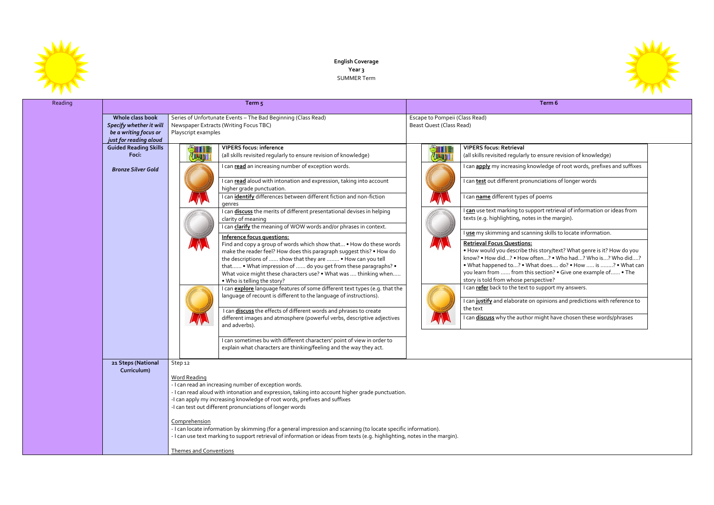

**English Coverage Year 3** SUMMER Term

| Reading |                                                                                              |                                                                                  | Term <sub>5</sub>                                                                                                                                                                                                                                                                                                                                                                                                                                                                                                                                                                                                                                                                                                                                                                                                                                                                                                                                                                                                                                                                                                                                                                                                                                                                                                                                                                                                                         |                                                            | Term 6                                                                                                                                                                                                                                                                                                                                                                                                                                                                                                                                                                                                                                                                                                                                                                                                                                                                                                                                                                                      |  |  |  |
|---------|----------------------------------------------------------------------------------------------|----------------------------------------------------------------------------------|-------------------------------------------------------------------------------------------------------------------------------------------------------------------------------------------------------------------------------------------------------------------------------------------------------------------------------------------------------------------------------------------------------------------------------------------------------------------------------------------------------------------------------------------------------------------------------------------------------------------------------------------------------------------------------------------------------------------------------------------------------------------------------------------------------------------------------------------------------------------------------------------------------------------------------------------------------------------------------------------------------------------------------------------------------------------------------------------------------------------------------------------------------------------------------------------------------------------------------------------------------------------------------------------------------------------------------------------------------------------------------------------------------------------------------------------|------------------------------------------------------------|---------------------------------------------------------------------------------------------------------------------------------------------------------------------------------------------------------------------------------------------------------------------------------------------------------------------------------------------------------------------------------------------------------------------------------------------------------------------------------------------------------------------------------------------------------------------------------------------------------------------------------------------------------------------------------------------------------------------------------------------------------------------------------------------------------------------------------------------------------------------------------------------------------------------------------------------------------------------------------------------|--|--|--|
|         | Whole class book<br>Specify whether it will<br>be a writing focus or                         | Playscript examples                                                              | Series of Unfortunate Events - The Bad Beginning (Class Read)<br>Newspaper Extracts (Writing Focus TBC)                                                                                                                                                                                                                                                                                                                                                                                                                                                                                                                                                                                                                                                                                                                                                                                                                                                                                                                                                                                                                                                                                                                                                                                                                                                                                                                                   | Escape to Pompeii (Class Read)<br>Beast Quest (Class Read) |                                                                                                                                                                                                                                                                                                                                                                                                                                                                                                                                                                                                                                                                                                                                                                                                                                                                                                                                                                                             |  |  |  |
|         | just for reading aloud<br><b>Guided Reading Skills</b><br>Foci:<br><b>Bronze Silver Gold</b> | $\frac{1}{2}$<br>$J - 1$                                                         | <b>VIPERS focus: inference</b><br>(all skills revisited reqularly to ensure revision of knowledge)<br>I can read an increasing number of exception words.<br>I can read aloud with intonation and expression, taking into account<br>higher grade punctuation.<br>I can <i>identify</i> differences between different fiction and non-fiction<br>genres<br>can discuss the merits of different presentational devises in helping<br>clarity of meaning<br>I can <i>clarify</i> the meaning of WOW words and/or phrases in context.<br><b>Inference focus questions:</b><br>Find and copy a group of words which show that . How do these words<br>make the reader feel? How does this paragraph suggest this? . How do<br>the descriptions of  show that they are  . How can you tell<br>that . What impression of  do you get from these paragraphs? .<br>What voice might these characters use? . What was  thinking when<br>. Who is telling the story?<br>I can <i>explore</i> language features of some different text types (e.g. that the<br>language of recount is different to the language of instructions).<br>I can discuss the effects of different words and phrases to create<br>different images and atmosphere (powerful verbs, descriptive adjectives<br>and adverbs).<br>I can sometimes bu with different characters' point of view in order to<br>explain what characters are thinking/feeling and the way they act. | <b>STILL</b><br><b>CULLED</b>                              | <b>VIPERS focus: Retrieval</b><br>(all skills revisited reqularly to ensure revision of knowledge)<br>I can <b>apply</b> my increasing knowledge of root words, prefixes<br>I can <b>test</b> out different pronunciations of longer words<br>I can name different types of poems<br>I can use text marking to support retrieval of information or i<br>texts (e.g. highlighting, notes in the margin).<br>I use my skimming and scanning skills to locate information.<br><b>Retrieval Focus Questions:</b><br>. How would you describe this story/text? What genre is it? H<br>know? . How did? . How often? . Who had? Who is?<br>. What happened to? . What does do? . How  is<br>you learn from  from this section? . Give one example of.<br>story is told from whose perspective?<br>I can refer back to the text to support my answers.<br>I can justify and elaborate on opinions and predictions with r<br>the text<br>I can discuss why the author might have chosen these words |  |  |  |
|         | 21 Steps (National<br>Curriculum)                                                            | Step 12<br><b>Word Reading</b><br>Comprehension<br><b>Themes and Conventions</b> | - I can read an increasing number of exception words.<br>- I can read aloud with intonation and expression, taking into account higher grade punctuation.<br>-I can apply my increasing knowledge of root words, prefixes and suffixes<br>-I can test out different pronunciations of longer words<br>- I can locate information by skimming (for a general impression and scanning (to locate specific information).<br>- I can use text marking to support retrieval of information or ideas from texts (e.g. highlighting, notes in the margin).                                                                                                                                                                                                                                                                                                                                                                                                                                                                                                                                                                                                                                                                                                                                                                                                                                                                                       |                                                            |                                                                                                                                                                                                                                                                                                                                                                                                                                                                                                                                                                                                                                                                                                                                                                                                                                                                                                                                                                                             |  |  |  |



| <b>VIPERS focus: Retrieval</b><br>(all skills revisited regularly to ensure revision of knowledge)                                                                                                                                     |
|----------------------------------------------------------------------------------------------------------------------------------------------------------------------------------------------------------------------------------------|
| I can <b>apply</b> my increasing knowledge of root words, prefixes and suffixes                                                                                                                                                        |
| I can <b>test</b> out different pronunciations of longer words                                                                                                                                                                         |
| I can <i>name</i> different types of poems                                                                                                                                                                                             |
| I can use text marking to support retrieval of information or ideas from<br>texts (e.g. highlighting, notes in the margin).                                                                                                            |
| I use my skimming and scanning skills to locate information.                                                                                                                                                                           |
| <b>Retrieval Focus Questions:</b><br>. How would you describe this story/text? What genre is it? How do you<br>know? • How did? • How often? • Who had? Who is? Who did?<br>. What happened to? . What does do? . How  is ? . What can |
| you learn from  from this section? • Give one example of • The<br>story is told from whose perspective?                                                                                                                                |
| I can refer back to the text to support my answers.                                                                                                                                                                                    |

I opinions and predictions with reference to

might have chosen these words/phrases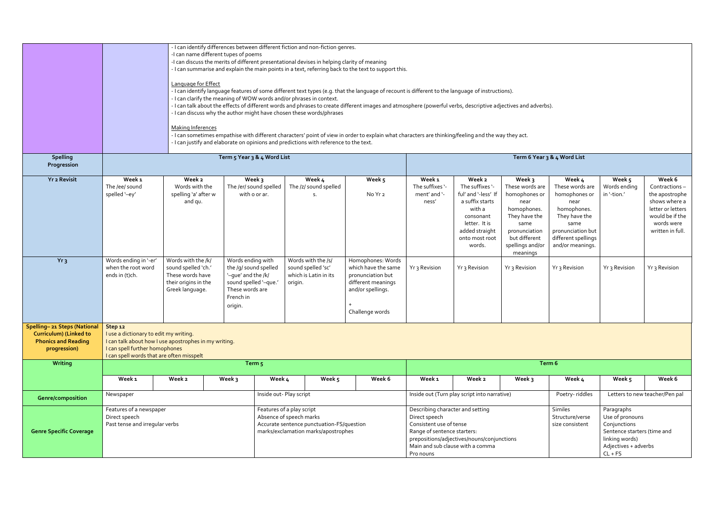| <b>Spelling</b><br>Progression                                                                              |                                                                                                                                  | - I can identify differences between different fiction and non-fiction genres.<br>-I can name different tupes of poems<br>-I can discuss the merits of different presentational devises in helping clarity of meaning<br>Language for Effect<br>- I can clarify the meaning of WOW words and/or phrases in context.<br>- I can discuss why the author might have chosen these words/phrases<br><b>Making Inferences</b><br>- I can justify and elaborate on opinions and predictions with reference to the text. |                                                                                                                                          | Term 5 Year 3 & 4 Word List                       |                                                                   | - I can summarise and explain the main points in a text, referring back to the text to support this.<br>- I can identify language features of some different text types (e.g. that the language of recount is different to the language of instructions).<br>- I can talk about the effects of different words and phrases to create different images and atmosphere (powerful verbs, descriptive adjectives and adverbs).<br>- I can sometimes empathise with different characters' point of view in order to explain what characters are thinking/feeling and the way they act. |                                                                                                                                                                                                                                                                                                                                                                      |                                                                                                                                                           |                                                                                                                                                  | Term 6 Year 3 & 4 Word List                                                                                                                                |                                       |                                                                                                                                      |
|-------------------------------------------------------------------------------------------------------------|----------------------------------------------------------------------------------------------------------------------------------|------------------------------------------------------------------------------------------------------------------------------------------------------------------------------------------------------------------------------------------------------------------------------------------------------------------------------------------------------------------------------------------------------------------------------------------------------------------------------------------------------------------|------------------------------------------------------------------------------------------------------------------------------------------|---------------------------------------------------|-------------------------------------------------------------------|-----------------------------------------------------------------------------------------------------------------------------------------------------------------------------------------------------------------------------------------------------------------------------------------------------------------------------------------------------------------------------------------------------------------------------------------------------------------------------------------------------------------------------------------------------------------------------------|----------------------------------------------------------------------------------------------------------------------------------------------------------------------------------------------------------------------------------------------------------------------------------------------------------------------------------------------------------------------|-----------------------------------------------------------------------------------------------------------------------------------------------------------|--------------------------------------------------------------------------------------------------------------------------------------------------|------------------------------------------------------------------------------------------------------------------------------------------------------------|---------------------------------------|--------------------------------------------------------------------------------------------------------------------------------------|
| <b>Yr 2 Revisit</b>                                                                                         | Week <sub>1</sub><br>The /ee/ sound<br>spelled '-ey'                                                                             | Week 2<br>Words with the<br>spelling 'a' after w<br>and qu.                                                                                                                                                                                                                                                                                                                                                                                                                                                      |                                                                                                                                          | Week 3<br>The /er/ sound spelled<br>with o or ar. | Week 4<br>The /z/ sound spelled<br>S.                             | Week 5<br>No Yr 2                                                                                                                                                                                                                                                                                                                                                                                                                                                                                                                                                                 | Week 1<br>The suffixes '<br>ment' and '-<br>ness'                                                                                                                                                                                                                                                                                                                    | Week 2<br>The suffixes '-<br>ful' and '-less' It<br>a suffix starts<br>with a<br>consonant<br>letter. It is<br>added straight<br>onto most root<br>words. | Week 3<br>These words are<br>homophones or<br>near<br>homophones.<br>They have the<br>same<br>pronunciation<br>but different<br>spellings and/or | Week 4<br>These words are<br>homophones or<br>near<br>homophones.<br>They have the<br>same<br>pronunciation but<br>different spellings<br>and/or meanings. | Week 5<br>Words ending<br>in '-tion.' | Week 6<br>Contractions-<br>the apostrophe<br>shows where a<br>letter or letters<br>would be if the<br>words were<br>written in full. |
| Yr <sub>3</sub>                                                                                             | Words ending in '-er'<br>when the root word<br>ends in (t)ch.                                                                    | Words with the /k/<br>sound spelled 'ch.'<br>These words have<br>their origins in the<br>Greek language.                                                                                                                                                                                                                                                                                                                                                                                                         | Words ending with<br>'-que' and the /k/<br>sound spelled '-que.'<br>These words are<br>French in<br>origin.                              | the /g/ sound spelled<br>origin.                  | Words with the /s/<br>sound spelled 'sc'<br>which is Latin in its | Homophones: Words<br>which have the same<br>pronunciation but<br>different meanings<br>and/or spellings.<br>Challenge words                                                                                                                                                                                                                                                                                                                                                                                                                                                       | Yr <sub>3</sub> Revision                                                                                                                                                                                                                                                                                                                                             | Yr <sub>3</sub> Revision                                                                                                                                  | meanings<br>Yr <sub>3</sub> Revision                                                                                                             | Yr <sub>3</sub> Revision                                                                                                                                   | Yr <sub>3</sub> Revision              | Yr <sub>3</sub> Revision                                                                                                             |
| Spelling- 21 Steps (National<br><b>Curriculum) (Linked to</b><br><b>Phonics and Reading</b><br>progression) | Step 12<br>I use a dictionary to edit my writing.<br>I can spell further homophones<br>I can spell words that are often misspelt | I can talk about how I use apostrophes in my writing.                                                                                                                                                                                                                                                                                                                                                                                                                                                            |                                                                                                                                          |                                                   |                                                                   |                                                                                                                                                                                                                                                                                                                                                                                                                                                                                                                                                                                   |                                                                                                                                                                                                                                                                                                                                                                      |                                                                                                                                                           |                                                                                                                                                  |                                                                                                                                                            |                                       |                                                                                                                                      |
| Writing                                                                                                     |                                                                                                                                  |                                                                                                                                                                                                                                                                                                                                                                                                                                                                                                                  |                                                                                                                                          | Term <sub>5</sub>                                 |                                                                   |                                                                                                                                                                                                                                                                                                                                                                                                                                                                                                                                                                                   |                                                                                                                                                                                                                                                                                                                                                                      |                                                                                                                                                           |                                                                                                                                                  | Term 6                                                                                                                                                     |                                       |                                                                                                                                      |
|                                                                                                             | Week <sub>1</sub>                                                                                                                | Week 2                                                                                                                                                                                                                                                                                                                                                                                                                                                                                                           | Week 3                                                                                                                                   | Week 4                                            | Week 5                                                            | Week 6                                                                                                                                                                                                                                                                                                                                                                                                                                                                                                                                                                            | Week <sub>1</sub>                                                                                                                                                                                                                                                                                                                                                    | Week 2                                                                                                                                                    | Week 3                                                                                                                                           | Week 4                                                                                                                                                     | Week 5                                | Week 6                                                                                                                               |
| Genre/composition                                                                                           | Newspaper                                                                                                                        |                                                                                                                                                                                                                                                                                                                                                                                                                                                                                                                  |                                                                                                                                          | Inside out- Play script                           |                                                                   |                                                                                                                                                                                                                                                                                                                                                                                                                                                                                                                                                                                   |                                                                                                                                                                                                                                                                                                                                                                      | Inside out (Turn play script into narrative)                                                                                                              |                                                                                                                                                  | Poetry-riddles                                                                                                                                             |                                       | Letters to new teacher/Pen pal                                                                                                       |
| <b>Genre Specific Coverage</b>                                                                              | Features of a newspaper<br>Direct speech<br>Past tense and irregular verbs                                                       |                                                                                                                                                                                                                                                                                                                                                                                                                                                                                                                  | Features of a play script<br>Absence of speech marks<br>Accurate sentence punctuation-FS/question<br>marks/exclamation marks/apostrophes |                                                   |                                                                   | Direct speech<br>Pro nouns                                                                                                                                                                                                                                                                                                                                                                                                                                                                                                                                                        | Similes<br>Describing character and setting<br>Paragraphs<br>Use of pronouns<br>Structure/verse<br>Conjunctions<br>Consistent use of tense<br>size consistent<br>Range of sentence starters:<br>Sentence starters (time and<br>prepositions/adjectives/nouns/conjunctions<br>linking words)<br>Main and sub clause with a comma<br>Adjectives + adverbs<br>$CL + FS$ |                                                                                                                                                           |                                                                                                                                                  |                                                                                                                                                            |                                       |                                                                                                                                      |